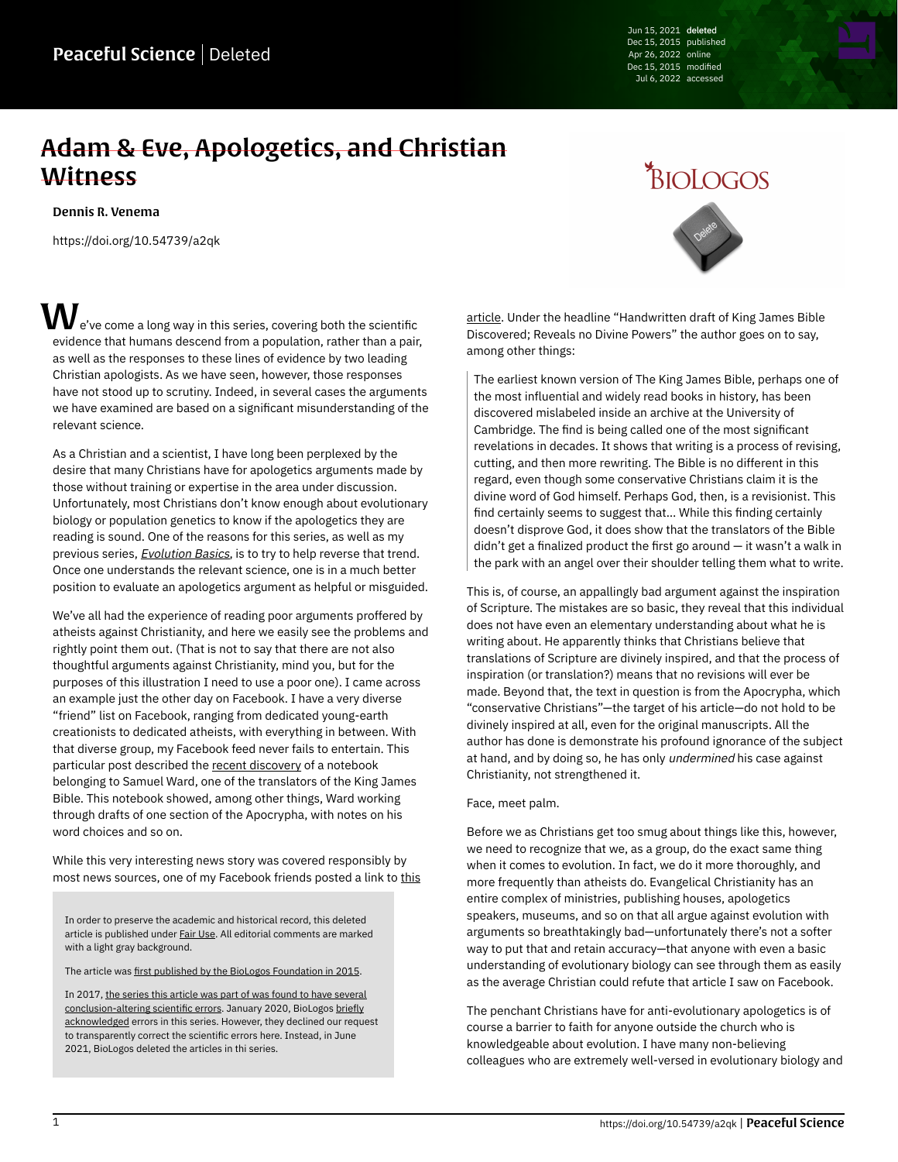Jun 15, 2021 deleted Dec 15, 2015 published Apr 26, 2022 online Dec 15, 2015 modified Jul 6, 2022 accessed

## Adam & Eve, Apologetics, and Christian **Witness**

[Dennis R. Venema](https://peacefulscience.org/authors/dennis-venema/)

<https://doi.org/10.54739/a2qk>

 $\bm{V}$  e've come a long way in this series, covering both the scientific evidence that humans descend from a population, rather than a pair, as well as the responses to these lines of evidence by two leading Christian apologists. As we have seen, however, those responses have not stood up to scrutiny. Indeed, in several cases the arguments we have examined are based on a significant misunderstanding of the relevant science.

As a Christian and a scientist, I have long been perplexed by the desire that many Christians have for apologetics arguments made by those without training or expertise in the area under discussion. Unfortunately, most Christians don't know enough about evolutionary biology or population genetics to know if the apologetics they are reading is sound. One of the reasons for this series, as well as my previous series, **[Evolution Basics](https://web.archive.org/web/20201109041526/https://biologos.org/articles/evolution-as-a-scientific-theory)**, is to try to help reverse that trend. Once one understands the relevant science, one is in a much better position to evaluate an apologetics argument as helpful or misguided.

We've all had the experience of reading poor arguments proffered by atheists against Christianity, and here we easily see the problems and rightly point them out. (That is not to say that there are not also thoughtful arguments against Christianity, mind you, but for the purposes of this illustration I need to use a poor one). I came across an example just the other day on Facebook. I have a very diverse "friend" list on Facebook, ranging from dedicated young-earth creationists to dedicated atheists, with everything in between. With that diverse group, my Facebook feed never fails to entertain. This particular post described the [recent discovery](https://web.archive.org/web/20201109041526/http://www.biblesociety.org.au/news/earliest-known-draft-of-the-king-james-bible-discovered-in-cambridge) of a notebook belonging to Samuel Ward, one of the translators of the King James Bible. This notebook showed, among other things, Ward working through drafts of one section of the Apocrypha, with notes on his word choices and so on.

While this very interesting news story was covered responsibly by most news sources, one of my Facebook friends posted a link to [this](https://web.archive.org/web/20201109041526/http://www.addictinginfo.org/2015/10/28/handwritten-draft-of-king-james-bible-discovered-reveals-no-divine-powers)

In order to preserve the academic and historical record, this deleted article is published under [Fair Use.](https://peacefulscience.org/prints/fair-use-deleted/) All editorial comments are marked with a light gray background.

The article was [first published by the BioLogos Foundation in 2015](https://web.archive.org/web/20200812100251/https://biologos.org/articles/series/genetics-and-the-historical-adam-responses-to-popular-arguments/adam-eve-and-human-population-genetics).

In 2017, [the series this article was part of was found to have several](https://peacefulscience.org/articles/three-stories-on-adam/) [conclusion-altering scientific errors](https://peacefulscience.org/articles/three-stories-on-adam/). January 2020, BioLogos [briefly](https://biologos.org/articles/truth-seeking-in-science) [acknowledged](https://biologos.org/articles/truth-seeking-in-science) errors in this series. However, they declined our request to transparently correct the scientific errors here. Instead, in June 2021, BioLogos deleted the articles in thi series.



[article.](https://web.archive.org/web/20201109041526/http://www.addictinginfo.org/2015/10/28/handwritten-draft-of-king-james-bible-discovered-reveals-no-divine-powers) Under the headline "Handwritten draft of King James Bible Discovered; Reveals no Divine Powers" the author goes on to say, among other things:

The earliest known version of The King James Bible, perhaps one of the most influential and widely read books in history, has been discovered mislabeled inside an archive at the University of Cambridge. The find is being called one of the most significant revelations in decades. It shows that writing is a process of revising, cutting, and then more rewriting. The Bible is no different in this regard, even though some conservative Christians claim it is the divine word of God himself. Perhaps God, then, is a revisionist. This find certainly seems to suggest that… While this finding certainly doesn't disprove God, it does show that the translators of the Bible  $d$ didn't get a finalized product the first go around  $-$  it wasn't a walk in the park with an angel over their shoulder telling them what to write.

This is, of course, an appallingly bad argument against the inspiration of Scripture. The mistakes are so basic, they reveal that this individual does not have even an elementary understanding about what he is writing about. He apparently thinks that Christians believe that translations of Scripture are divinely inspired, and that the process of inspiration (or translation?) means that no revisions will ever be made. Beyond that, the text in question is from the Apocrypha, which "conservative Christians"—the target of his article—do not hold to be divinely inspired at all, even for the original manuscripts. All the author has done is demonstrate his profound ignorance of the subject at hand, and by doing so, he has only undermined his case against Christianity, not strengthened it.

## Face, meet palm.

Before we as Christians get too smug about things like this, however, we need to recognize that we, as a group, do the exact same thing when it comes to evolution. In fact, we do it more thoroughly, and more frequently than atheists do. Evangelical Christianity has an entire complex of ministries, publishing houses, apologetics speakers, museums, and so on that all argue against evolution with arguments so breathtakingly bad—unfortunately there's not a softer way to put that and retain accuracy—that anyone with even a basic understanding of evolutionary biology can see through them as easily as the average Christian could refute that article I saw on Facebook.

The penchant Christians have for anti-evolutionary apologetics is of course a barrier to faith for anyone outside the church who is knowledgeable about evolution. I have many non-believing colleagues who are extremely well-versed in evolutionary biology and